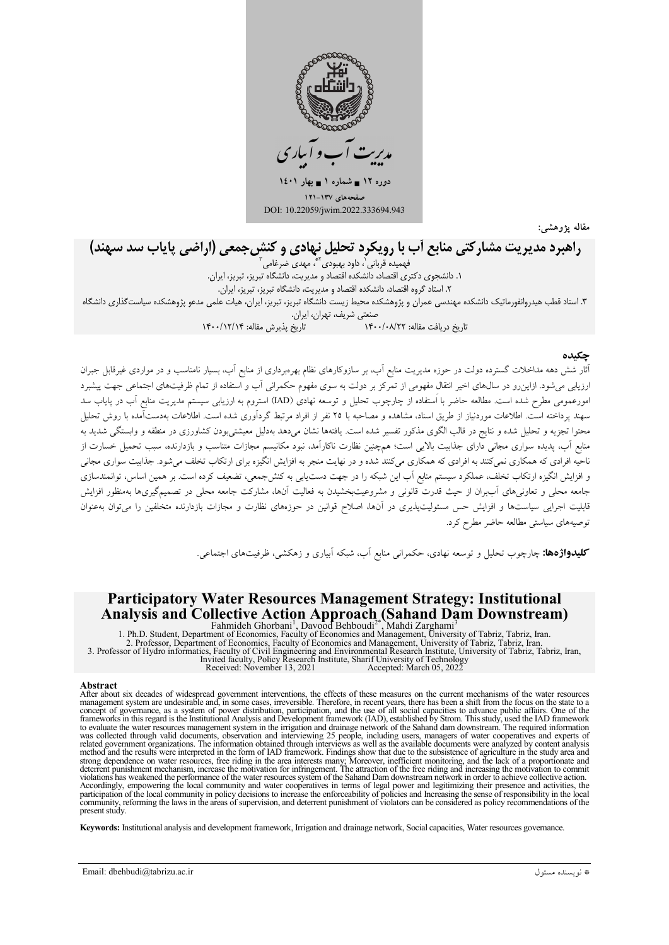

مقاله يژوهشي:

# راهبرد مدیریت مشارکتی منابع آب با رویکرد تحلیل نهادی و کنش جمعی (اراضی پایاب سد سهند)

فهمیده قربانی`، داود بهبودی<sup>۲</sup>ٌ، مهدی ضرغامی ۱. دانشجوی دکتری اقتصاد، دانشکده اقتصاد و مدیریت، دانشگاه تبریز، تبریز، ایران. ٢. استاد گروه اقتصاد، دانشکده اقتصاد و مديريت، دانشگاه تبريز، تبريز، ايران. ۳. استاد قطب هیدروانفورماتیک دانشکده مهندسی عمران و پژوهشکده محیط زیست دانشگاه تبریز، تبریز، ایران، هیات علمی مدعو پژوهشکده سیاست گذاری دانشگاه یرن<br>تاریخ بذیرش مقاله: ۱۴۰۰/۱۲/۱۴

.<br>آثار شش دهه مداخلات گسترده دولت در حوزه مدیریت منابع آب، بر سازوکارهای نظام بهرهبرداری از منابع آب، بسیار نامناسب و در مواردی غیرقابل جبران ارزیابی میشود. ازاین٫و در سالهای اخیر انتقال مفهومی از تمرکز بر دولت به سوی مفهوم حکمرانی آب و استفاده از تمام ظرفیتهای اجتماعی جهت پیشبرد امورعمومی مطرح شده است. مطالعه حاضر با استفاده از چارچوب تحلیل و توسعه نهادی (IAD) استروم به ارزیابی سیستم مدیریت منابع آب در پایاب سد سهند پرداخته است. اطلاعات موردنیاز از طریق اسناد، مشاهده و مصاحبه با ۲۵ نفر از افراد مرتبط گردآوری شده است. اطلاعات بهدستآمده ىا روش تحلیل .<br>محتوا تجزیه و تحلیل شده و نتایج در قالب الگوی مذکور تفسیر شده است. یافتهها نشان می(هد بهدلیل معیشتی بودن کشاورزی در منطقه و وابستگی شدید به .<br>منابع آب، پدیده سواری مجانی دارای جذابیت بالایی است؛ هم چنین نظارت ناکارآمد، نبود مکانیسم مجازات متناسب و بازدارنده، سبب تحمیل خسارت از ناحیه افرادی که همکاری نمیکنند به افرادی که همکاری میکنند شده و در نهایت منجر به افزایش انگیزه برای ارتکاب تخلف میشود. جذابیت سواری مجانی و افزایش انگیزه ارتکاب تخلف، عملکرد سیستم منابع آب این شبکه را در جهت دستLبابی به کنشجمعی، تضعیف کرده است. بر همین اساس، توانمندسازی جامعه محلی و تعاونیهای آببران از حیث قدرت قانونی و مشروعیتبخشیدن به فعالیت آنها، مشارکت جامعه محلی در تصمیمگیریها بهمنظور افزایش قابلیت اجرایی سیاستها و افزایش حس مسئولیتپذیری در آنها، اصلاح قوانین در حوزههای نظارت و مجازات بازدارنده متخلفین را میتوان بهعنوان توصیههای سیاستی مطالعه حاضر مطرح کرد.

**کلیدواژهها:** چارچوب تحلیل و توسعه نهادی، حکمران<sub>ی</sub> منابع اّب، شبکه اَبیاری و زهکشی، ظرفیتهای اجتماعی<sub>.</sub>.

# **Participatory Water Resources Management Strategy: Institutional** Analysis and Collective Action Approach (Sahand Dam Downstream)

**Analysis and Collective Action Approach** (Sanand Dam Downstream)<br>
Fahmideh Ghorbani<sup>1</sup>, Davood Behboudi<sup>2</sup><sup>\*</sup>, Mahdi Zarghami<sup>3</sup><br>
1. Ph.D. Student, Department of Economics, Faculty of Economics and Management, University

#### **Abstract**

After about six decades of widespread government interventions, the effects of these measures on the current mechanisms of the water resources After about six decades of widespread government interventions, the effects of these measures on the current mechanisms of the water resources management system are undesirable and, in some cases, irreversible. Therefore, was collected through valid documents, observation and interviewing 25 people, including users, managers of water cooperatives and experts of related government organizations. The information obtained through interviews as Experience of agriculture in the results were interpreted in the form of IAD framework. Findings show that due to the subsistence of agriculture in the study area and strong dependence on water resources, free riding in th violations has weakened the performance of the water resources system of the Sahard Dam downstream network in order to achieve collective action. Accordingly, empowering the local community and water cooperatives in terms of legal power and legitimizing their presence and activities, the participation of the local community in policy decisions to increase the enforc present study.

Keywords: Institutional analysis and development framework, Irrigation and drainage network, Social capacities, Water resources governance.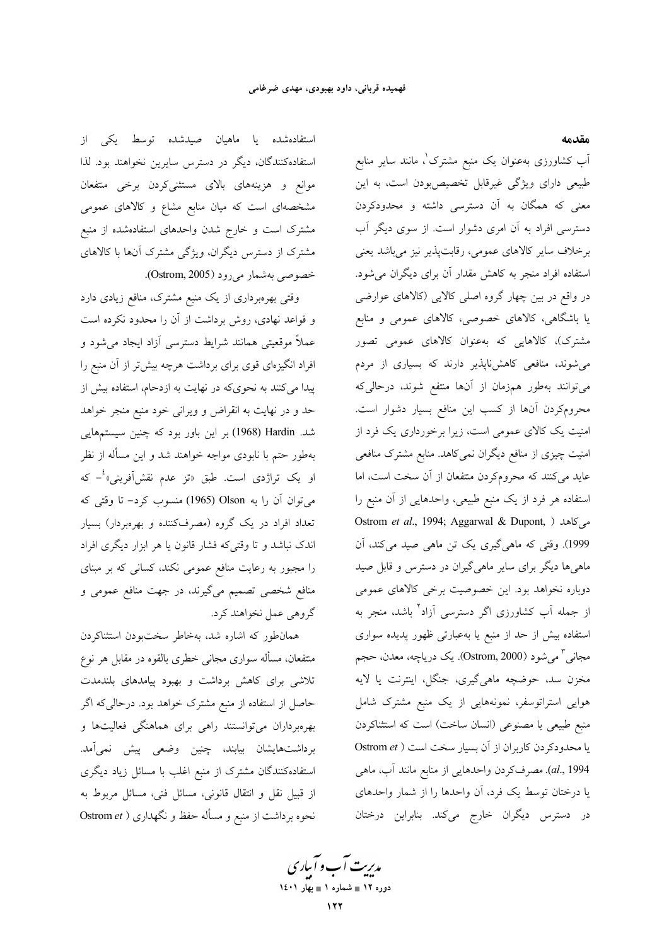مقدمه

استفادهشده یا ماهیان صیدشده توسط یکی از استفادهکنندگان، دیگر در دسترس سایرین نخواهند بود. لذا موانع و هزینههای بالای مستثنیکردن برخی منتفعان مشخصهای است که میان منابع مشاع و کالاهای عمومی مشترک است و خارج شدن واحدهای استفادهشده از منبع مشترک از دسترس دیگران، ویژگی مشترک آنها با کالاهای خصوصي بهشمار مي رود (Ostrom, 2005).

وقتی بهرهبرداری از یک منبع مشترک، منافع زیادی دارد و قواعد نهادی، روش برداشت از آن را محدود نکرده است عملاً موقعیتی همانند شرایط دسترسی آزاد ایجاد میشود و افراد انگیزهای قوی برای برداشت هرچه بیش تر از آن منبع را ییدا می کنند به نحویکه در نهایت به ازدحام، استفاده بیش از حد و در نهایت به انقراض و ویرانی خود منبع منجر خواهد شد. Hardin (1968) بر این باور بود که چنین سیستمهایی بهطور حتم با نابودی مواجه خواهند شد و این مسأله از نظر او یک تراژدی است. طبق «تز عدم نقشآفرینی»<sup>،</sup>– که مي توان آن را به Olson (1965) منسوب كرد– تا وقتى كه تعداد افراد در یک گروه (مصرفکننده و بهرهبردار) بسیار اندک نباشد و تا وقتیکه فشار قانون یا هر ابزار دیگری افراد را مجبور به رعایت منافع عمومی نکند، کسانی که بر مبنای منافع شخصی تصمیم میگیرند، در جهت منافع عمومی و گروهي عمل نخواهند كرد.

همانطور که اشاره شد، بهخاطر سختبودن استثناکردن منتفعان، مسأله سوارى مجانى خطرى بالقوه در مقابل هر نوع تلاشی برای کاهش برداشت و بهبود پیامدهای بلندمدت حاصل از استفاده از منبع مشترک خواهد بود. درحالی که اگر بهرهبرداران میتوانستند راهی برای هماهنگی فعالیتها و برداشتهایشان بیابند، چنین وضعی پیش نمی<mark>آمد.</mark> استفادهکنندگان مشترک از منبع اغلب با مسائل زیاد دیگری از قبیل نقل و انتقال قانونی، مسائل فنی، مسائل مربوط به نحوه برداشت از منبع و مسأله حفظ و نگهداری ( Ostrom et

آب کشاورزی بهعنوان یک منبع مشترک'، مانند سایر منابع طبیعی دارای ویژگی غیرقابل تخصیصبودن است، به این معنی که همگان به آن دسترسی داشته و محدودکردن دسترسی افراد به آن امری دشوار است. از سوی دیگر آب برخلاف سایر کالاهای عمومی، رقابتپذیر نیز میباشد یعنی استفاده افراد منجر به کاهش مقدار آن برای دیگران میشود. در واقع در بین چهار گروه اصلی کالایی (کالاهای عوارضی یا باشگاهی، کالاهای خصوصی، کالاهای عمومی و منابع مشترک)، کالاهایی که بهعنوان کالاهای عمومی تصور می شوند، منافعی کاهش،ناپذیر دارند که بسیاری از مردم میتوانند بهطور همزمان از آنها منتفع شوند، درحالیکه محرومکردن آنها از کسب این منافع بسیار دشوار است. امنیت یک کالای عمومی است، زیرا برخورداری یک فرد از امنیت چیزی از منافع دیگران نمیکاهد. منابع مشترک منافعی عاید میکنند که محرومکردن منتفعان از آن سخت است، اما استفاده هر فرد از یک منبع طبیعی، واحدهایی از آن منبع را Ostrom *et al.*, 1994; Aggarwal & Dupont, ) میکاهد 1999). وقتی که ماهیگیری یک تن ماهی صید میکند، آن ماهیها دیگر برای سایر ماهیگیران در دسترس و قابل صید دوباره نخواهد بود. این خصوصیت برخی کالاهای عمومی از جمله آب کشاورزی اگر دسترسی آزاد<sup>۲</sup> باشد، منجر به استفاده بیش از حد از منبع یا بهعبارتی ظهور پدیده سواری مجاني <sup>۳</sup> مي¢ود (Ostrom, 2000). يک درياچه، معدن، حجم مخزن سد، حوضچه ماهیگیری، جنگل، اینترنت یا لایه هوایی استراتوسفر، نمونههایی از یک منبع مشترک شامل منبع طبیعی یا مصنوعی (انسان ساخت) است که استثناکردن  $Ostrom$  a) یا محدودکردن کاربران از آن بسیار سخت است al., 1994). مصرفکردن واحدهایی از منابع مانند آب، ماهی یا درختان توسط یک فرد، آن واحدها را از شمار واحدهای در دسترس دیگران خارج میکند. بنابراین درختان

مدیریت آب و آباری دوره ۱۲ ∎ شماره ۱ ∎ بهار ۱٤۰۱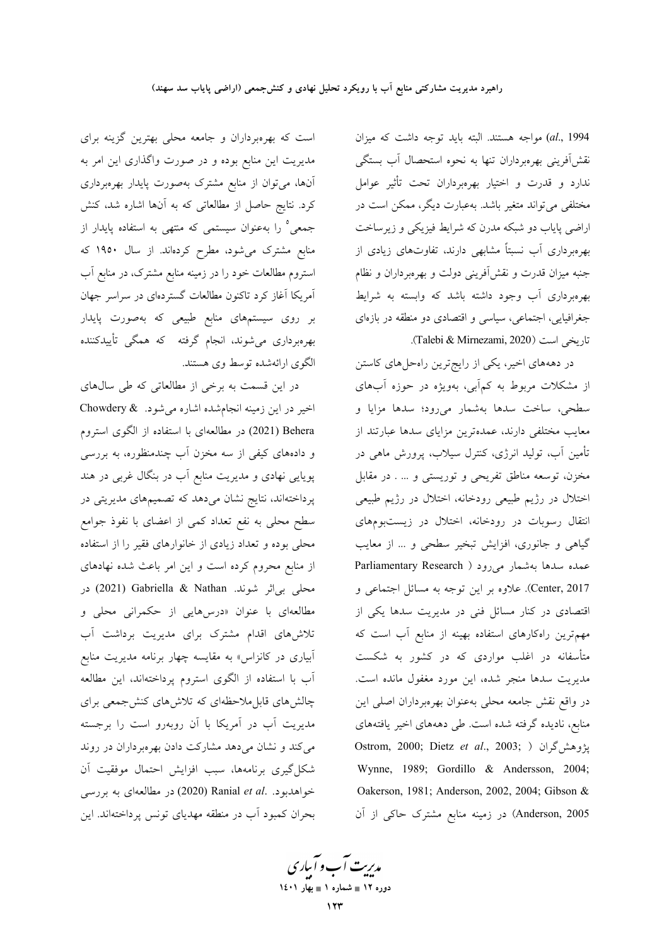al., 1994) مواجه هستند. البته بايد توجه داشت كه ميزان نقش|َفرینی بهرهبرداران تنها به نحوه استحصال آب بستگی ندارد و قدرت و اختیار بهرهبرداران تحت تأثیر عوامل مختلفی می تواند متغیر باشد. بهعبارت دیگر، ممکن است در اراضي پاياب دو شبکه مدرن که شرايط فيزيکي و زيرساخت بهرهبرداری آب نسبتاً مشابهی دارند، تفاوتهای زیادی از جنبه میزان قدرت و نقشآفرینی دولت و بهرهبرداران و نظام بهرهبرداری آب وجود داشته باشد که وابسته به شرایط جغرافیایی، اجتماعی، سیاسی و اقتصادی دو منطقه در بازهای تاريخي است (Talebi & Mirnezami, 2020).

در دهههای اخیر، یکی از رایجترین راهحلهای کاستن از مشکلات مربوط به کمآبی، بهویژه در حوزه آبهای سطحی، ساخت سدها بهشمار میرود؛ سدها مزایا و معایب مختلفی دارند، عمدهترین مزایای سدها عبارتند از تأمین آب، تولید انرژی، کنترل سیلاب، پرورش ماهی در مخزن، توسعه مناطق تفریحی و توریستی و … . در مقابل اختلال در رژیم طبیعی رودخانه، اختلال در رژیم طبیعی انتقال رسوبات در رودخانه، اختلال در زیستبومهای گیاهی و جانوری، افزایش تبخیر سطحی و ... از معایب عمده سدها بهشمار میرود ( Parliamentary Research Center, 2017). علاوه بر این توجه به مسائل اجتماعی و اقتصادی در کنار مسائل فنی در مدیریت سدها یکی از مهم ترین راهکارهای استفاده بهینه از منابع آب است که متأسفانه در اغلب مواردی که در کشور به شکست مديريت سدها منجر شده، اين مورد مغفول مانده است. در واقع نقش جامعه محلي بهعنوان بهرهبرداران اصلى اين منابع، نادیده گرفته شده است. طی دهههای اخیر یافتههای Ostrom, 2000; Dietz et al., 2003; ) فيژوهش گران Wynne, 1989; Gordillo & Andersson, 2004; Oakerson, 1981; Anderson, 2002, 2004; Gibson & Anderson, 2005) در زمینه منابع مشترک حاکی از آن

است که بهرهبرداران و جامعه محلی بهترین گزینه برای مدیریت این منابع بوده و در صورت واگذاری این امر به آنها، میتوان از منابع مشترک بهصورت پایدار بهرهبرداری کرد. نتایج حاصل از مطالعاتی که به آنها اشاره شد، کنش جمعی° را بهعنوان سیستمی که منتهی به استفاده پایدار از منابع مشترک میشود، مطرح کردهاند. از سال ۱۹۵۰ که استروم مطالعات خود را در زمینه منابع مشترک، در منابع آب آمریکا آغاز کرد تاکنون مطالعات گستردهای در سراسر جهان بر روی سیستمهای منابع طبیعی که بهصورت پایدار بهرهبرداری میشوند، انجام گرفته که همگی تأییدکننده الگوی ارائهشده توسط وی هستند.

در این قسمت به برخی از مطالعاتی که طی سالهای اخیر در این زمینه انجامشده اشاره میشود. Chowdery & Behera (2021) در مطالعهای با استفاده از الگوی استروم و دادههای کیفی از سه مخزن آب چندمنظوره، به بررسی پویایی نهادی و مدیریت منابع آب در بنگال غربی در هند پرداختهاند، نتایج نشان میدهد که تصمیمهای مدیریتی در سطح محلی به نفع تعداد کمی از اعضای با نفوذ جوامع محلی بوده و تعداد زیادی از خانوارهای فقیر را از استفاده از منابع محروم کرده است و این امر باعث شده نهادهای محلي بي|ثر شوند. Gabriella & Nathan (2021) در مطالعهای با عنوان «درسهایی از حکمرانی محلی و تلاشهای اقدام مشترک برای مدیریت برداشت آب آبیاری در کانزاس» به مقایسه چهار برنامه مدیریت منابع آب با استفاده از الگوی استروم پرداختهاند، این مطالعه چالش های قابل ملاحظهای که تلاش های کنش جمعی برای مدیریت آب در آمریکا با آن روبهرو است را برجسته می کند و نشان می دهد مشارکت دادن بهرهبرداران در روند شكل گيري برنامهها، سبب افزايش احتمال موفقيت آن خواهدبود. .Ranial et al (2020) در مطالعهای به بررسی بحران کمبود آب در منطقه مهدیای تونس پرداختهاند. این

مدیرت آب و آباری ۔<br>دورہ ۱۲ ∎ شمارہ ۱ ∎ بھار ۱٤۰۱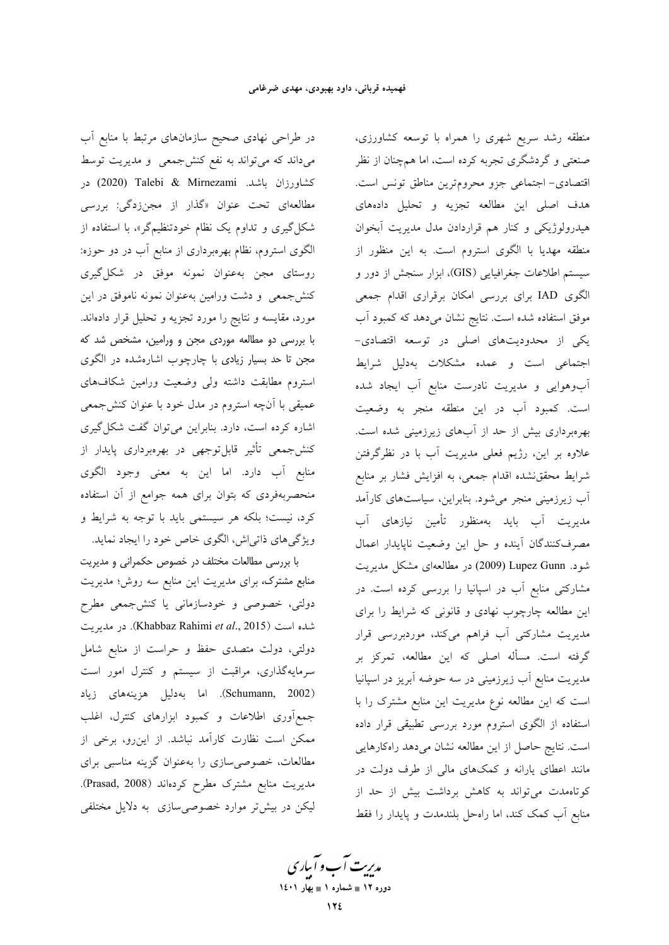در طراحی نهادی صحیح سازمانهای مرتبط با منابع آب میداند که می تواند به نفع کنشجمعی و مدیریت توسط كشاورزان باشد. Talebi & Mirnezami (2020) در مطالعهای تحت عنوان «گذار از مجنزدگی: بررسی شکل گیری و تداوم یک نظام خودتنظیمگر»، با استفاده از الگوی استروم، نظام بهرهبرداری از منابع آب در دو حوزه: روستای مجن بهعنوان نمونه موفق در شکل گیری کنش جمعی و دشت ورامین بهعنوان نمونه ناموفق در این مورد، مقایسه و نتایج را مورد تجزیه و تحلیل قرار دادهاند. با بررسی دو مطالعه موردی مجن و ورامین، مشخص شد که مجن تا حد بسیار زیادی با چارچوب اشارهشده در الگوی استروم مطابقت داشته ولى وضعيت ورامين شكافهاى عمیقی با آنچه استروم در مدل خود با عنوان کنشجمعی اشاره کرده است، دارد. بنابراین میتوان گفت شکل گیری کنش جمعی تأثیر قابلتوجهی در بهرهبرداری پایدار از منابع آب دارد. اما این به معنی وجود الگوی منحصربهفردی که بتوان برای همه جوامع از آن استفاده کرد، نیست؛ بلکه هر سیستمی باید با توجه به شرایط و ویژگیهای ذاتی اش، الگوی خاص خود را ایجاد نماید.

با بررسی مطالعات مختلف در خصوص حکمرانی و مدیریت منابع مشترک، برای مدیریت این منابع سه روش؛ مدیریت دولتی، خصوصی و خودسازمانی یا کنشجمعی مطرح شده است (Khabbaz Rahimi et al., 2015). در مديريت دولتی، دولت متصدی حفظ و حراست از منابع شامل سرمایهگذاری، مراقبت از سیستم و کنترل امور است (Schumann, 2002). اما بەدلیل هزینههای زیاد جمع آوری اطلاعات و کمبود ابزارهای کنترل، اغلب ممکن است نظارت کارآمد نباشد. از اینرو، برخی از مطالعات، خصوصی سازی را بهعنوان گزینه مناسبی برای مديريت منابع مشترك مطرح كردهاند (Prasad, 2008). لیکن در بیش تر موارد خصوصی سازی به دلایل مختلفی

منطقه رشد سریع شهری را همراه با توسعه کشاورزی، صنعتی و گردشگری تجربه کرده است، اما همچنان از نظر اقتصادي- اجتماعي جزو محرومترين مناطق تونس است. هدف اصلی این مطالعه تجزیه و تحلیل دادههای هیدرولوژیکی و کنار هم قراردادن مدل مدیریت آبخوان منطقه مهدیا با الگوی استروم است. به این منظور از سیستم اطلاعات جغرافیایی (GIS)، ابزار سنجش از دور و الگوی IAD برای بررسی امکان برقراری اقدام جمعی موفق استفاده شده است. نتایج نشان میدهد که کمبود آب یکی از محدودیتهای اصلی در توسعه اقتصادی-اجتماعی است و عمده مشکلات بهدلیل شرایط آب وهوایی و مدیریت نادرست منابع آب ایجاد شده است. کمبود آب در این منطقه منجر به وضعیت بهرهبرداری بیش از حد از آبهای زیرزمینی شده است. علاوه بر این، رژیم فعلی مدیریت آب با در نظرگرفتن شرایط محققنشده اقدام جمعی، به افزایش فشار بر منابع آب زیرزمینی منجر میشود. بنابراین، سیاستهای کارآمد مدیریت آب باید بهمنظور تأمین نیازهای آب مصرف كنندگان آينده وحل اين وضعيت ناپايدار اعمال شود. Lupez Gunn (2009) در مطالعهای مشکل مدیریت مشارکتی منابع آب در اسپانیا را بررسی کرده است. در این مطالعه چارچوب نهادی و قانونی که شرایط را برای مدیریت مشارکتی آب فراهم میکند، موردبررسی قرار گرفته است. مسأله اصلی که این مطالعه، تمرکز بر مدیریت منابع آب زیرزمینی در سه حوضه آبریز در اسپانیا است که این مطالعه نوع مدیریت این منابع مشترک را با استفاده از الگوی استروم مورد بررسی تطبیقی قرار داده است. نتایج حاصل از این مطالعه نشان میدهد راهکارهایی مانند اعطای یارانه و کمکهای مالی از طرف دولت در کوتاهمدت می تواند به کاهش برداشت بیش از حد از منابع أب كمك كند، اما راهحل بلندمدت و پايدار را فقط

مدیریت آب و آباری دوره ۱۲ ∎ شماره ۱ ∎ بهار ۱٤۰۱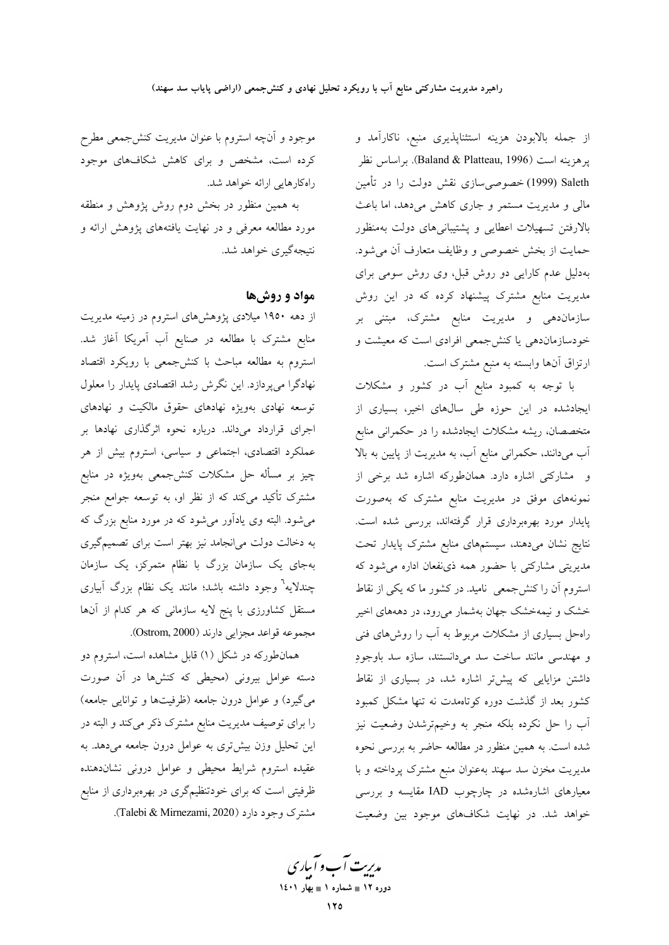از جمله بالابودن هزینه استثناپذیری منبع، ناکارآمد و يرهزينه است (Baland & Platteau, 1996). براساس نظر Saleth (1999) خصوصی سازی نقش دولت را در تأمین مالی و مدیریت مستمر و جاری کاهش میدهد، اما باعث بالارفتن تسهيلات اعطايى و پشتيبانىهاى دولت بهمنظور حمايت از بخش خصوصي و وظايف متعارف أن مي شود. بهدلیل عدم کارایی دو روش قبل، وی روش سومی برای مدیریت منابع مشترک پیشنهاد کرده که در این روش سازمان<mark>دهی و مدیریت منابع مشترک، مبتنی بر</mark> خودسازماندهی یا کنشجمعی افرادی است که معیشت و ارتزاق آنها وابسته به منبع مشترک است.

با توجه به کمبود منابع آب در کشور و مشکلات ایجادشده در این حوزه طی سالهای اخیر، بسیاری از متخصصان، ریشه مشکلات ایجادشده را در حکمرانی منابع آب میدانند، حکمرانی منابع آب، به مدیریت از پایین به بالا و مشارکتی اشاره دارد. همانطورکه اشاره شد برخی از نمونههای موفق در مدیریت منابع مشترک که بهصورت پایدار مورد بهرهبرداری قرار گرفتهاند، بررسی شده است. نتايج نشان مىدهند، سيستمهاى منابع مشترك پايدار تحت مدیریتی مشارکتی با حضور همه ذی نفعان اداره می شود که استروم آن را کنشجمعی نامید. در کشور ما که یکی از نقاط .<br>خشک و نیمهخشک جهان بهشمار م<sub>ی</sub>رود، در دهههای اخیر راهحل بسیاری از مشکلات مربوط به آب را روشهای فنی و مهندسی مانند ساخت سد میدانستند، سازه سد باوجودِ داشتن مزایایی که پیش تر اشاره شد، در بسیاری از نقاط کشور بعد از گذشت دوره کوتاهمدت نه تنها مشکل کمبود آب را حل نکرده بلکه منجر به وخیمترشدن وضعیت نیز شده است. به همین منظور در مطالعه حاضر به بررسی نحوه مدیریت مخزن سد سهند بهعنوان منبع مشترک پرداخته و با معیارهای اشارهشده در چارچوب IAD مقایسه و بررسی خواهد شد. در نهایت شکافهای موجود بین وضعیت

موجود و آنچه استروم با عنوان مدیریت کنشجمعی مطرح کرده است، مشخص و برای کاهش شکافهای موجود راهکارهایی ارائه خواهد شد.

به همین منظور در بخش دوم روش پژوهش و منطقه مورد مطالعه معرفی و در نهایت یافتههای پژوهش ارائه و نتيجهگيري خواهد شد.

## مواد و روشها

از دهه ۱۹۵۰ میلادی پژوهشهای استروم در زمینه مدیریت منابع مشترک با مطالعه در صنایع آب آمریکا آغاز شد. استروم به مطالعه مباحث با كنشجمعى با رويكرد اقتصاد نهادگرا میپردازد. این نگرش رشد اقتصادی پایدار را معلول توسعه نهادی بهویژه نهادهای حقوق مالکیت و نهادهای اجرای قرارداد میداند. درباره نحوه اثرگذاری نهادها بر عملکرد اقتصادی، اجتماعی و سیاسی، استروم بیش از هر چیز بر مسأله حل مشکلات کنش÷معی بهویژه در منابع مشترک تأکید میکند که از نظر او، به توسعه جوامع منجر میشود. البته وی یادآور میشود که در مورد منابع بزرگ که به دخالت دولت میانجامد نیز بهتر است برای تصمیمگیری بهجای یک سازمان بزرگ با نظام متمرکز، یک سازمان چندلایه<sup>٦</sup> وجود داشته باشد؛ مانند یک نظام بزرگ آبیاری مستقل کشاورزی با پنج لایه سازمانی که هر کدام از آنها مجموعه قواعد مجزايي دارند (Ostrom, 2000).

همان طورکه در شکل (۱) قابل مشاهده است، استروم دو دسته عوامل بیرونی (محیطی که کنشها در آن صورت میگیرد) و عوامل درون جامعه (ظرفیتها و توانایی جامعه) را برای توصیف مدیریت منابع مشترک ذکر میکند و البته در این تحلیل وزن بیشتری به عوامل درون جامعه میدهد. به عقیده استروم شرایط محیطی و عوامل درونی نشاندهنده ظرفیتی است که برای خودتنظیمگری در بهرهبرداری از منابع مشترک وجود دارد (Talebi & Mirnezami, 2020).

مدبریت آب و آبیاری دوره ۱۲ ∎ شماره ۱ ∎ بهار ۱٤۰۱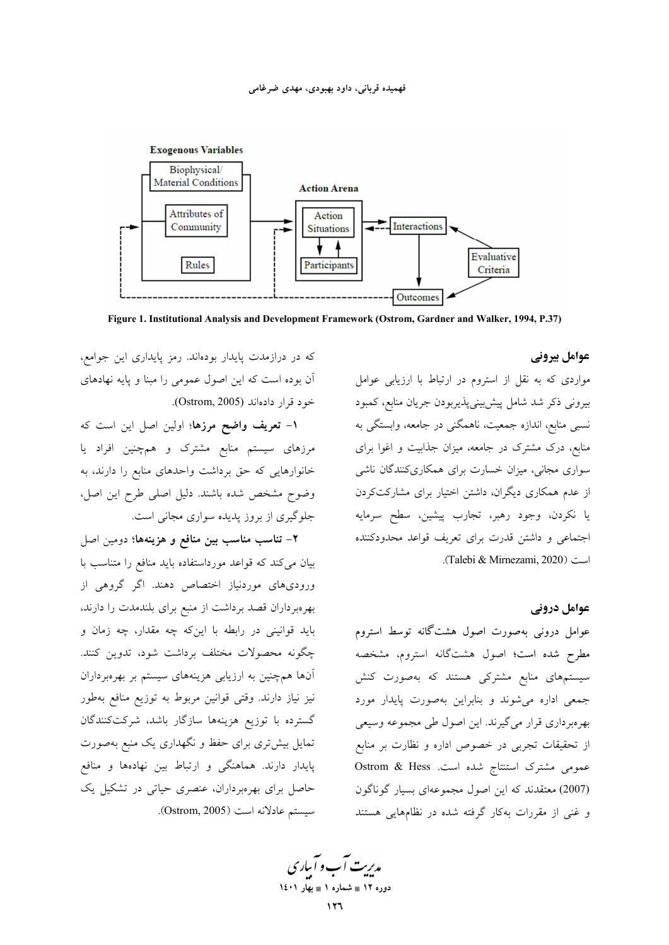

Figure 1. Institutional Analysis and Development Framework (Ostrom, Gardner and Walker, 1994, P.37)

عوامل بيروني

مواردی که به نقل از استروم در ارتباط با ارزیابی عوامل بیرونی ذکر شد شامل پیش بینی پذیربودن جریان منابع، کمبود نسبی منابع، اندازه جمعیت، ناهمگنی در جامعه، وابستگی به منابع، درک مشترک در جامعه، میزان جذابیت و اغوا برای سواری مجانی، میزان خسارت برای همکاریکنندگان ناشی از عدم همکاری دیگران، داشتن اختیار برای مشارکتکردن یا نکردن، وجود رهبر، تجارب پیشین، سطح سرمایه اجتماعی و داشتن قدرت برای تعریف قواعد محدودکننده است (Talebi & Mirnezami, 2020).

### عوامل درونی

عوامل درونی بهصورت اصول هشتگانه توسط استروم مطرح شده است؛ اصول هشتگانه استروم، مشخصه سیستمهای منابع مشترک<sub>ی</sub> هستند که بهصورت کنش جمعی اداره می شوند و بنابراین بهصورت پایدار مورد بهرهبرداري قرار مي گيرند. اين اصول طي مجموعه وسيعي از تحقیقات تجربی در خصوص اداره و نظارت بر منابع عمومی مشترک استنتاج شده است. Ostrom & Hess .<br>(2007) معتقدند که این اصول مجموعهای بسیار گوناگون و غنی از مقررات بهکار گرفته شده در نظامهایی هستند

مدیریت آب و آباری دوره ۱۲ = شماره ۱ = بهار ۱٤٠١

که در درازمدت پایدار بودهاند. رمز پایداری این جوامع، آن بوده است که این اصول عمومی را مبنا و پایه نهادهای خود قرار دادهاند (Ostrom, 2005).

<mark>۱– تعریف واضح مرزها؛</mark> اولین اصل این است که مرزهای سیستم منابع مشترک و همچنین افراد یا خانوارهایی که حق برداشت واحدهای منابع را دارند، به وضوح مشخص شده باشند. دلیل اصلی طرح این اصل، جلوگیری از بروز پدیده سواری مجانی است.

۲– تناسب مناسب بین منافع و هزینهها؛ دومین اصل بیان میکند که قواعد مورداستفاده باید منافع را متناسب با ورودیهای موردنیاز اختصاص دهند. اگر گروهی از بهرهبرداران قصد برداشت از منبع برای بلندمدت را دارند، باید قوانینی در رابطه با اینکه چه مقدار، چه زمان و چگونه محصولات مختلف برداشت شود، تدوین کنند. آنها همچنین به ارزیابی هزینههای سیستم بر بهرهبرداران نیز نیاز دارند. وقتی قوانین مربوط به توزیع منافع بهطور گسترده با توزیع هزینهها سازگار باشد، شرکتکنندگان تمایل بیش تری برای حفظ و نگهداری یک منبع بهصورت پایدار دارند. هماهنگی و ارتباط بین نهادهها و منافع حاصل برای بهرهبرداران، عنصری حیاتی در تشکیل یک سيستم عادلانه است (Ostrom, 2005).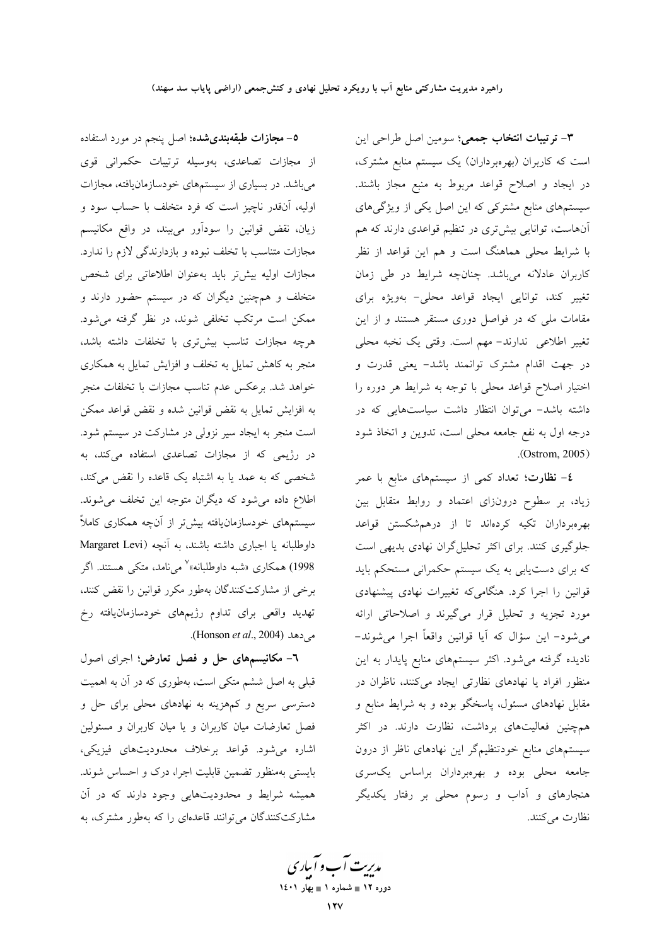**٥– مجازات طبقهبندیشده؛** اصل پنجم در مورد استفاده از مجازات تصاعدی، بهوسیله ترتیبات حکمرانی قوی میباشد. در بسیاری از سیستمهای خودسازمانیافته، مجازات اولیه، آنقدر ناچیز است که فرد متخلف با حساب سود و زیان، نقض قوانین را سودآور میبیند، در واقع مکانیسم مجازات متناسب با تخلف نبوده و بازدارندگی لازم را ندارد. مجازات اولیه بیشتر باید بهعنوان اطلاعاتی برای شخص متخلف و همچنین دیگران که در سیستم حضور دارند و ممکن است مرتکب تخلفی شوند، در نظر گرفته میشود. هرچه مجازات تناسب بیشتری با تخلفات داشته باشد، منجر به کاهش تمایل به تخلف و افزایش تمایل به همکاری خواهد شد. برعکس عدم تناسب مجازات با تخلفات منجر به افزایش تمایل به نقض قوانین شده و نقض قواعد ممکن است منجر به ایجاد سیر نزولی در مشارکت در سیستم شود. در رژیمی که از مجازات تصاعدی استفاده میکند، به شخصی که به عمد یا به اشتباه یک قاعده را نقض میکند، اطلاع داده میشود که دیگران متوجه این تخلف میشوند. سیستمهای خودسازمانیافته بیشتر از آنچه همکاری کاملاً داوطلبانه يا اجبارى داشته باشند، به آنچه (Margaret Levi 1998) همکاری «شبه داوطلبانه»<sup>۷</sup> میiامد. متکی هستند. اگر برخی از مشارکتکنندگان بهطور مکرر قوانین را نقض کنند، تهدید واقعی برای تداوم رژیمهای خودسازمانیافته رخ می دهد (Honson et al., 2004).

٦- مکانیسمهای حل و فصل تعارض؛ اجرای اصول قبلی به اصل ششم متکی است، بهطوری که در آن به اهمیت دسترسی سریع و کمهزینه به نهادهای محلی برای حل و فصل تعارضات میان کاربران و یا میان کاربران و مسئولین اشاره می شود. قواعد برخلاف محدودیتهای فیزیکی، بایستی بهمنظور تضمین قابلیت اجرا، درک و احساس شوند. همیشه شرایط و محدودیتهایی وجود دارند که در آن مشارکتکنندگان می توانند قاعدهای را که بهطور مشترک، به

۳- ترتیبات انتخاب جمعی؛ سومین اصل طراحی این است که کاربران (بهرهبرداران) یک سیستم منابع مشترک، در ایجاد و اصلاح قواعد مربوط به منبع مجاز باشند. سیستمهای منابع مشترکی که این اصل یکی از ویژگیهای آنهاست، توانایی بیشتری در تنظیم قواعدی دارند که هم با شرایط محلی هماهنگ است و هم این قواعد از نظر کاربران عادلانه میباشد. چنانچه شرایط در طی زمان تغییر کند، توانایی ایجاد قواعد محلی- بهویژه برای مقامات ملی که در فواصل دوری مستقر هستند و از این تغییر اطلاعی ندارند- مهم است. وقتی یک نخبه محلی در جهت اقدام مشترک توانمند باشد- یعنی قدرت و اختیار اصلاح قواعد محلی با توجه به شرایط هر دوره را داشته باشد- میتوان انتظار داشت سیاستهایی که در درجه اول به نفع جامعه محلی است، تدوین و اتخاذ شود  $.$ (Ostrom, 2005)

**٤– نظارت**؛ تعداد کمی از سیستمهای منابع با عمر زیاد، بر سطوح درونزای اعتماد و روابط متقابل بین بهرهبرداران تكيه كردهاند تا از درهم شكستن قواعد جلوگیری کنند. برای اکثر تحلیل گران نهادی بدیهی است که برای دست یابی به یک سیستم حکمرانی مستحکم باید قوانین را اجرا کرد. هنگامیکه تغییرات نهادی پیشنهادی مورد تجزیه و تحلیل قرار میگیرند و اصلاحاتی ارائه می شود– این سؤال که آیا قوانین واقعاً اجرا می شوند– نادیده گرفته میشود. اکثر سیستمهای منابع پایدار به این منظور افراد یا نهادهای نظارتی ایجاد میکنند، ناظران در مقابل نهادهای مسئول، پاسخگو بوده و به شرایط منابع و همچنین فعالیتهای برداشت، نظارت دارند. در اکثر سیستمهای منابع خودتنظیمگر این نهادهای ناظر از درون جامعه محلی بوده و بهرهبرداران براساس یکسری هنجارهای و آداب و رسوم محل<sub>ی</sub> بر رفتار یکدیگر نظارت مي كنند.

مدبریت آب و آبیاری دوره ۱۲ ∎ شماره ۱ ∎ بهار ۱٤۰۱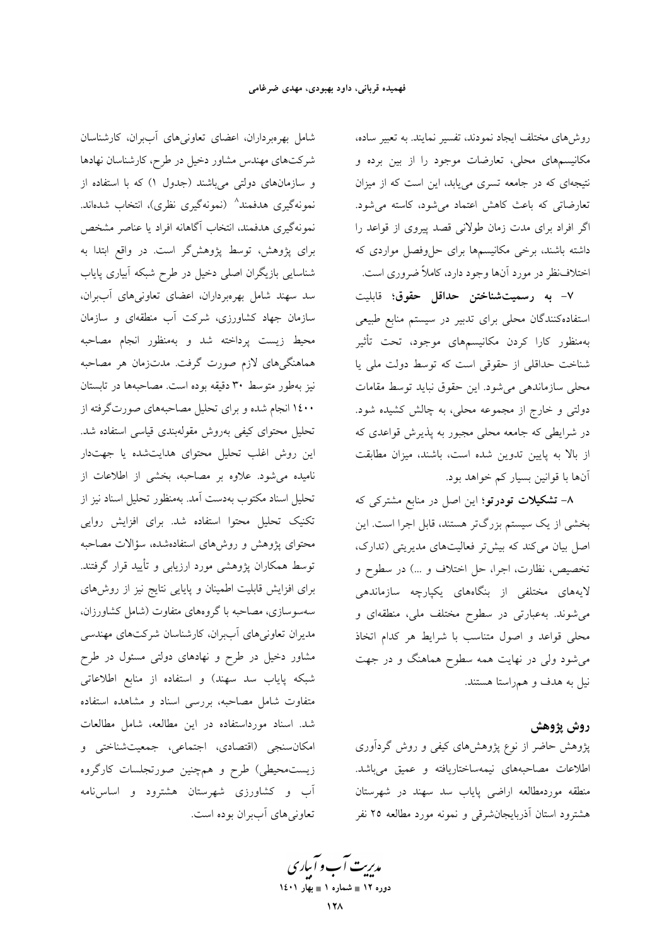روشهای مختلف ایجاد نمودند، تفسیر نمایند. به تعبیر ساده، مکانیسمهای محلی، تعارضات موجود را از بین برده و نتیجهای که در جامعه تسری می یابد، این است که از میزان تعارضاتی که باعث کاهش اعتماد می شود، کاسته می شود. اگر افراد برای مدت زمان طولانی قصد پیروی از قواعد را داشته باشند، برخی مکانیسمها برای حلوفصل مواردی که اختلاف نظر در مورد آنها وجود دارد، کاملاً ضروری است.

٧- به رسميتشناختن حداقل حقوق؛ قابليت استفادهکنندگان محلی برای تدبیر در سیستم منابع طبیعی بهمنظور كارا كردن مكانيسمهاى موجود، تحت تأثير شناخت حداقلی از حقوقی است که توسط دولت ملی یا محلي سازماندهي مي شود. اين حقوق نبايد توسط مقامات دولتی و خارج از مجموعه محلی، به چالش کشیده شود. در شرایطی که جامعه محلی مجبور به پذیرش قواعدی که از بالا به پایین تدوین شده است، باشند، میزان مطابقت آنها با قوانین بسیار کم خواهد بود.

۸– تشکیلات تودرتو؛ این اصل در منابع مشترکی که بخشی از یک سیستم بزرگتر هستند، قابل اجرا است. این اصل بیان میکند که بیش تر فعالیتهای مدیریتی (تدارک، تخصیص، نظارت، اجرا، حل اختلاف و …) در سطوح و لایههای مختلفی از بنگاههای یکپارچه سازماندهی می شوند. به عبارتی در سطوح مختلف ملی، منطقهای و محلی قواعد و اصول متناسب با شرایط هر کدام اتخاذ میشود ولی در نهایت همه سطوح هماهنگ و در جهت نیل به هدف و همراستا هستند.

### روش پژوهش

پژوهش حاضر از نوع پژوهشهای کیفی و روش گردآوری اطلاعات مصاحبههای نیمهساختاریافته و عمیق میباشد. منطقه موردمطالعه اراضى ياياب سد سهند در شهرستان هشترود استان آذربایجانشرقی و نمونه مورد مطالعه ۲۵ نفر

شامل بهرهبرداران، اعضای تعاونیهای آببران، کارشناسان شرکتهای مهندس مشاور دخیل در طرح، کارشناسان نهادها و سازمانهای دولتی میباشند (جدول ۱) که با استفاده از نمونهگیری هدفمند^ (نمونهگیری نظری)، انتخاب شدهاند. نمونهگیری هدفمند، انتخاب آگاهانه افراد یا عناصر مشخص برای پژوهش، توسط پژوهش گر است. در واقع ابتدا به شناسایی بازیگران اصلی دخیل در طرح شبکه آبیاری پایاب سد سهند شامل بهرهبرداران، اعضای تعاونیهای آببران، سازمان جهاد کشاورزی، شرکت آب منطقهای و سازمان محيط زيست پرداخته شد و بهمنظور انجام مصاحبه هماهنگیهای لازم صورت گرفت. مدتزمان هر مصاحبه نیز بهطور متوسط ۳۰ دقیقه بوده است. مصاحبهها در تابستان ۱٤۰۰ انجام شده و برای تحلیل مصاحبههای صورتگرفته از تحلیل محتوای کیفی بهروش مقولهبندی قیاسی استفاده شد. این روش اغلب تحلیل محتوای هدایتشده یا جهتدار نامیده میشود. علاوه بر مصاحبه، بخشی از اطلاعات از تحليل اسناد مكتوب بهدست آمد. بهمنظور تحليل اسناد نيز از تکنیک تحلیل محتوا استفاده شد. برای افزایش روایی محتوای پژوهش و روشهای استفادهشده، سؤالات مصاحبه توسط همکاران پژوهشی مورد ارزیابی و تأیید قرار گرفتند. برای افزایش قابلیت اطمینان و پایایی نتایج نیز از روشهای سەسوسازى، مصاحبه با گروەهاي متفاوت (شامل كشاورزان، مدیران تعاونیهای آببران، کارشناسان شرکتهای مهندسی مشاور دخیل در طرح و نهادهای دولتی مسئول در طرح شبکه پایاب سد سهند) و استفاده از منابع اطلاعاتی متفاوت شامل مصاحبه، بررسی اسناد و مشاهده استفاده شد. اسناد مورداستفاده در این مطالعه، شامل مطالعات امکان سنجی (اقتصادی، اجتماعی، جمعیت شناختی و زیست.محیطی) طرح و همچنین صورتجلسات کارگروه آب و کشاورزی شهرستان هشترود و اساس نامه تعاوني هاي آببران بوده است.

مد*ریت آ*ب و آبیاری دوره ۱۲ ∎ شماره ۱ ∎ بهار ۱٤۰۱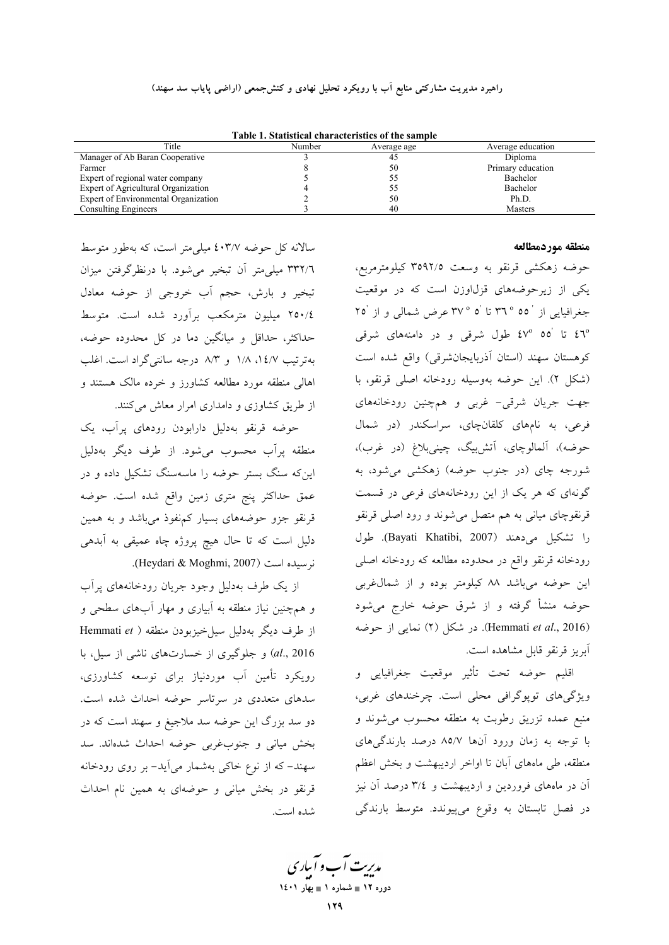راهبرد مدیریت مشارکتی منابع اَب با رویکرد تحلیل نهادی و کنش\$جمعی (اراضی پایاب سد سهند)

| Table 1. Statistical characteristics of the sample |        |             |                   |
|----------------------------------------------------|--------|-------------|-------------------|
| Title                                              | Number | Average age | Average education |
| Manager of Ab Baran Cooperative                    |        |             | Diploma           |
| Farmer                                             |        | 50          | Primary education |
| Expert of regional water company                   |        |             | Bachelor          |
| Expert of Agricultural Organization                |        |             | Bachelor          |
| Expert of Environmental Organization               |        | 50          | Ph.D.             |
| Consulting Engineers                               |        | 40          | <b>Masters</b>    |
|                                                    |        |             |                   |

Table 1. Statistical characteristics of the sample

#### منطقه موردمطالعه

سالانه کل حوضه ٤٠٣/٧ میلی متر است، که بهطور متوسط ٣٣٢/٦ ميلي متر آن تبخير مي شود. با درنظرگرفتن ميزان تبخیر و بارش، حجم آب خروجی از حوضه معادل ٢٥٠/٤ ميليون مترمكعب برأورد شده است. متوسط حداکثر، حداقل و میانگین دما در کل محدوده حوضه، بهترتيب ١٤/٧، ١/٨ و ٨/٣ درجه سانتي گراد است. اغلب اهالی منطقه مورد مطالعه کشاورز و خرده مالک هستند و از طریق کشاوزی و دامداری امرار معاش میکنند.

حوضه قرنقو بهدلیل دارابودن رودهای پرآب، یک منطقه پرأب محسوب می شود. از طرف دیگر بهدلیل اینکه سنگ بستر حوضه را ماسهسنگ تشکیل داده و در عمق حداکثر پنج متری زمین واقع شده است. حوضه قرنقو جزو حوضههای بسیار کمنفوذ میباشد و به همین دلیل است که تا حال هیچ پروژه چاه عمیقی به آبدهی نر سیده است (Heydari & Moghmi, 2007).

از یک طرف بهدلیل وجود جریان رودخانههای پرآب و همچنین نیاز منطقه به آبیاری و مهار آبهای سطحی و از طرف دیگر بهدلیل سیل خیزبودن منطقه ( Hemmati et al., 2016) و جلوگیری از خسارتهای ناشی از سیل، با رویکرد تأمین آب موردنیاز برای توسعه کشاورزی، سدهای متعددی در سرتاسر حوضه احداث شده است. دو سد بزرگ این حوضه سد ملاجیغ و سهند است که در بخش میانی و جنوبغربی حوضه احداث شدهاند. سد سهند– که از نوع خاکی بهشمار میآید– بر روی رودخانه قرنقو در بخش میانی و حوضهای به همین نام احداث شده است.

حوضه زهكشي قرنقو به وسعت ٣٥٩٢/٥ كيلومترمربع، یکی از زیرحوضههای قزل اوزن است که در موقعیت جغرافیایی از ۵۵ ° ۳٦ تا ۵ ° ۳۷ عرض شمالی و از ۲۵ ٤٦° تا '٤٧° ٤٧° طول شرقى و در دامنههاى شرقى كوهستان سهند (استان أذربايجانشرقي) واقع شده است (شکل ۲). این حوضه بهوسیله رودخانه اصلی قرنقو، با جهت جریان شرقی- غربی و همچنین رودخانههای فرعی، به نامهای کلقانچای، سراسکندر (در شمال حوضه)، آلمالوچای، آتشبیگ، چینیبلاغ (در غرب)، شورجه چای (در جنوب حوضه) زهکشی میشود، به گونهای که هر یک از این رودخانههای فرعی در قسمت قرنقوچای میانی به هم متصل میشوند و رود اصلی قرنقو را تشكيل مى دهند (Bayati Khatibi, 2007). طول رودخانه قرنقو واقع در محدوده مطالعه كه رودخانه اصلى این حوضه میباشد ۸۸ کیلومتر بوده و از شمال غربی حوضه منشأ گرفته و از شرق حوضه خارج میشود (Hemmati et al., 2016). در شکل (۲) نمایی از حوضه آبريز قرنقو قابل مشاهده است.

اقليم حوضه تحت تأثير موقعيت جغرافيايي و ویژگیهای توپوگرافی محلی است. چرخندهای غربی، منبع عمده تزریق رطوبت به منطقه محسوب می شوند و با توجه به زمان ورود آنها ۸۵/۷ درصد بارندگیهای منطقه، طی ماههای آبان تا اواخر اردیبهشت و بخش اعظم آن در ماههای فروردین و اردیبهشت و ۳/٤ درصد آن نیز در فصل تابستان به وقوع میپیوندد. متوسط بارندگی

مدبریت آب و آبیاری دوره ۱۲ ∎ شماره ۱ ∎ بهار ۱٤۰۱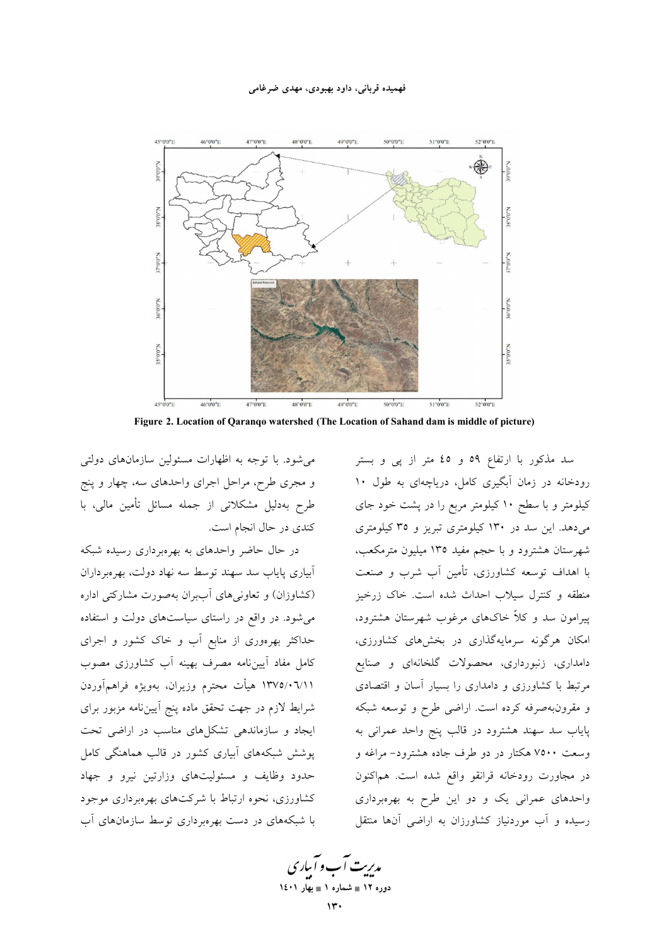#### فهمیده قربانی، داود بهبودی، مهدی ضرغامی



Figure 2. Location of Qaranqo watershed (The Location of Sahand dam is middle of picture)

می شود. با توجه به اظهارات مسئولین سازمانهای دولتی و مجری طرح، مراحل اجرای واحدهای سه، چهار و پنج طرح بهدلیل مشکلاتی از جمله مسائل تأمین مالی، با کندی در حال انجام است.

در حال حاضر واحدهای به بهرهبرداری رسیده شبکه آبیاری پایاب سد سهند توسط سه نهاد دولت، بهرهبرداران (کشاوزان) و تعاونیهای آببران بهصورت مشارکتی اداره می شود. در واقع در راستای سیاستهای دولت و استفاده حداکثر بهرهوری از منابع آب و خاک کشور و اجرای کامل مفاد آییننامه مصرف بهینه آب کشاورزی مصوب ۱۳۷۵/۰٦/۱۱ هیأت محترم وزیران، بهویژه فراهمآوردن شرایط لازم در جهت تحقق ماده پنج آیینiامه مزبور برای ایجاد و سازماندهی تشکلهای مناسب در اراضی تحت پوشش شبکههای آبیاری کشور در قالب هماهنگی کامل حدود وظایف و مسئولیتهای وزارتین نیرو و جهاد کشاورزی، نحوه ارتباط با شرکتهای بهرهبرداری موجود با شبکههای در دست بهرهبرداری توسط سازمانهای آب

سد مذکور با ارتفاع ٥٩ و ٤٥ متر از پی و بستر رودخانه در زمان آبگیری کامل، دریاچهای به طول ۱۰ کیلومتر و با سطح ۱۰ کیلومتر مربع را در پشت خود جای می دهد. این سد در ۱۳۰ کیلومتری تبریز و ۳۵ کیلومتری شهرستان هشترود و با حجم مفید ۱۳۵ میلیون مترمکعب، با اهداف توسعه کشاورزی، تأمین آب شرب و صنعت منطقه و کنترل سیلاب احداث شده است. خاک زرخیز پیرامون سد و کلاً خاکهای مرغوب شهرستان هشترود، امکان هرگونه سرمایهگذاری در بخشهای کشاورزی، دامداری، زنبورداری، محصولات گلخانهای و صنایع مرتبط با کشاورزی و دامداری را بسیار آسان و اقتصادی و مقرونبهصرفه کرده است. اراضی طرح و توسعه شبکه پایاب سد سهند هشترود در قالب پنج واحد عمرانی به وسعت ۷۵۰۰ هکتار در دو طرف جاده هشترود- مراغه و در مجاورت رودخانه قرانقو واقع شده است. هماکنون واحدهای عمرانی یک و دو این طرح به بهرهبرداری رسیده و آب موردنیاز کشاورزان به اراضی آنها منتقل

م*دی*ت آب و آباری دوره ١٢ = شماره ١ = بهار ١٤٠١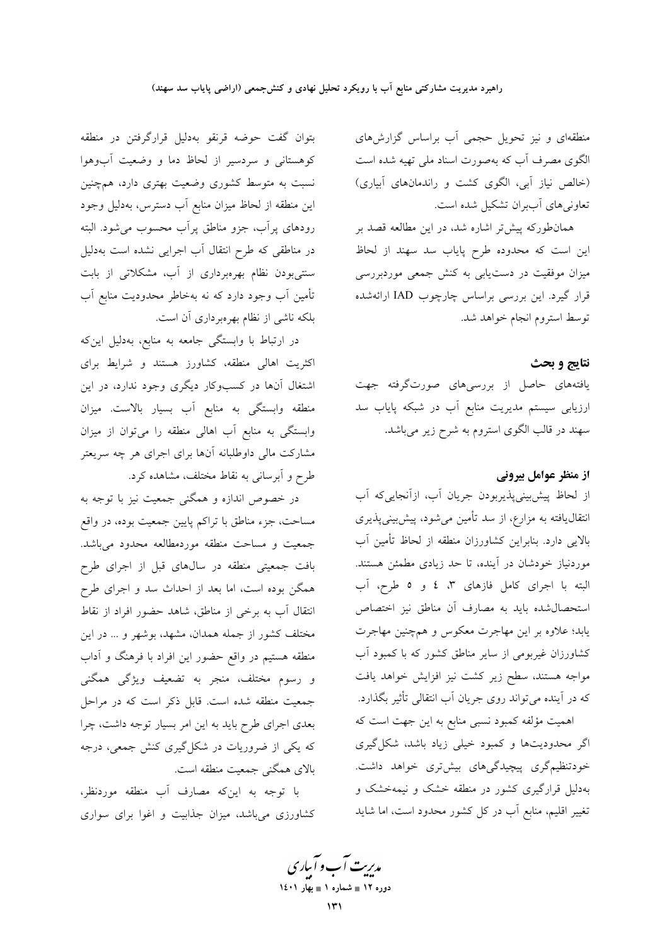منطقهای و نیز تحویل حجمی آب براساس گزارشهای الگوی مصرف آب که بهصورت اسناد ملی تهیه شده است (خالص نیاز آبی، الگوی کشت و راندمانهای آبیاری) تعاونی های آببران تشکیل شده است.

همانطورکه پیشتر اشاره شد، در این مطالعه قصد بر این است که محدوده طرح پایاب سد سهند از لحاظ میزان موفقیت در دستیابی به کنش جمعی موردبررسی قرار گیرد. این بررسی براساس چارچوب IAD ارائهشده توسط استروم انجام خواهد شد.

### نتايج و بحث

یافتههای حاصل از بررسیهای صورتگرفته جهت ارزیابی سیستم مدیریت منابع آب در شبکه پایاب سد سهند در قالب الگوی استروم به شرح زیر میباشد.

# از منظر عوامل بیرونی

از لحاظ پیش بینیپذیربودن جریان آب، ازآنجاییکه آب انتقال،یافته به مزارع، از سد تأمین میشود، پیشبینیپذیری بالایی دارد. بنابراین کشاورزان منطقه از لحاظ تأمین آب موردنیاز خودشان در آینده، تا حد زیادی مطمئن هستند. البته با اجرای کامل فازهای ٣، ٤ و ٥ طرح، آب استحصال شده بايد به مصارف أن مناطق نيز اختصاص یابد؛ علاوه بر این مهاجرت معکوس و همچنین مهاجرت کشاورزان غیربومی از سایر مناطق کشور که با کمبود آب مواجه هستند، سطح زیر کشت نیز افزایش خواهد یافت که در آینده میتواند روی جریان آب انتقالی تأثیر بگذارد.

اهمیت مؤلفه کمبود نسبی منابع به این جهت است که اگر محدودیتها و کمبود خیلی زیاد باشد، شکل گیری خودتنظیمگری پیچیدگیهای بیشتری خواهد داشت. بهدلیل قرارگیری کشور در منطقه خشک و نیمهخشک و تغییر اقلیم، منابع آب در کل کشور محدود است، اما شاید

بتوان گفت حوضه قرنقو بهدلیل قرارگرفتن در منطقه کوهستانی و سردسیر از لحاظ دما و وضعیت آبوهوا نسبت به متوسط کشوری وضعیت بهتری دارد، همچنین این منطقه از لحاظ میزان منابع آب دسترس، بهدلیل وجود رودهای پراّب، جزو مناطق پراّب محسوب میشود. البته در مناطقی که طرح انتقال آب اجرایی نشده است بهدلیل سنتیبودن نظام بهرهبرداری از آب، مشکلاتی از بابت تأمین آب وجود دارد که نه بهخاطر محدودیت منابع آب بلکه ناشی از نظام بهرهبرداری آن است.

در ارتباط با وابستگی جامعه به منابع، بهدلیل اینکه اکثریت اهالی منطقه، کشاورز هستند و شرایط برای اشتغال آنها در کسبوکار دیگری وجود ندارد، در این منطقه وابستگی به منابع آب بسیار بالاست. میزان وابستگی به منابع آب اهالی منطقه را میتوان از میزان مشارکت مالی داوطلبانه آنها برای اجرای هر چه سریعتر طرح و ابرسانی به نقاط مختلف، مشاهده کرد.

در خصوص اندازه و همگنی جمعیت نیز با توجه به مساحت، جزء مناطق با تراکم پایین جمعیت بوده، در واقع جمعیت و مساحت منطقه موردمطالعه محدود میباشد. بافت جمعیتی منطقه در سالهای قبل از اجرای طرح همگن بوده است، اما بعد از احداث سد و اجرای طرح انتقال آب به برخی از مناطق، شاهد حضور افراد از نقاط مختلف کشور از جمله همدان، مشهد، بوشهر و … در این منطقه هستیم در واقع حضور این افراد با فرهنگ و آداب و رسوم مختلف، منجر به تضعیف ویژگی همگنی جمعیت منطقه شده است. قابل ذکر است که در مراحل بعدی اجرای طرح باید به این امر بسیار توجه داشت، چرا که یکی از ضروریات در شکلگیری کنش جمعی، درجه بالای همگنی جمعیت منطقه است.

با توجه به اینکه مصارف آب منطقه موردنظر، کشاورزی میباشد، میزان جذابیت و اغوا برای سواری

مدبریت آب و آبیاری دوره ۱۲ ∎ شماره ۱ ∎ بهار ۱٤۰۱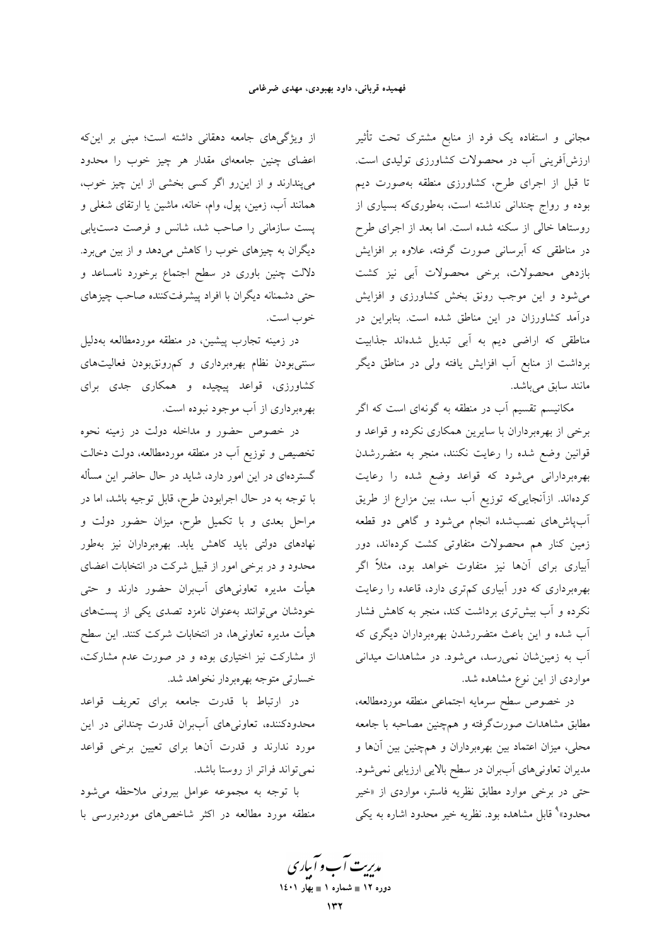مجانی و استفاده یک فرد از منابع مشترک تحت تأثیر ارزش[فوینی آب در محصولات کشاورزی تولیدی است. تا قبل از اجرای طرح، کشاورزی منطقه بهصورت دیم بوده و رواج چندانی نداشته است، بهطوریکه بسیاری از روستاها خالی از سکنه شده است. اما بعد از اجرای طرح در مناطقی که آبرسانی صورت گرفته، علاوه بر افزایش بازدهی محصولات، برخی محصولات آبی نیز کشت می شود و این موجب رونق بخش کشاورزی و افزایش درآمد کشاورزان در این مناطق شده است. بنابراین در مناطقی که اراضی دیم به آبی تبدیل شدهاند جذابیت برداشت از منابع آب افزایش یافته ولی در مناطق دیگر مانند سابق میباشد.

مکانیسم تقسیم آب در منطقه به گونهای است که اگر برخی از بهرهبرداران با سایرین همکاری نکرده و قواعد و قوانین وضع شده را رعایت نکنند، منجر به متضررشدن بهرهبردارانی میشود که قواعد وضع شده را رعایت كردهاند. ازآنجايىكه توزيع آب سد، بين مزارع از طريق آبپاشهای نصب شده انجام می شود و گاهی دو قطعه زمین کنار هم محصولات متفاوتی کشت کردهاند، دور آبیاری برای آنها نیز متفاوت خواهد بود، مثلاً اگر بهرهبرداری که دور آبیاری کم تری دارد، قاعده را رعایت نکرده و آب بیشتری برداشت کند، منجر به کاهش فشار آب شده و این باعث متضررشدن بهرهبرداران دیگری که آب به زمینشان نمی رسد، می شود. در مشاهدات میدانی مواردی از این نوع مشاهده شد.

در خصوص سطح سرمايه اجتماعى منطقه موردمطالعه، مطابق مشاهدات صورتگرفته و همچنین مصاحبه با جامعه محلی، میزان اعتماد بین بهرهبرداران و همچنین بین آنها و مدیران تعاونیهای آببران در سطح بالایی ارزیابی نمیشود. حتی در برخی موارد مطابق نظریه فاستر، مواردی از «خیر محدود»<sup>۹</sup> قابل مشاهده بود. نظریه خیر محدود اشاره به یک<sub>ی</sub>

از ویژگیهای جامعه دهقانی داشته است؛ مبنی بر اینکه اعضای چنین جامعهای مقدار هر چیز خوب را محدود می پندارند و از این رو اگر کسی بخشی از این چیز خوب، همانند آب، زمین، پول، وام، خانه، ماشین یا ارتقای شغلی و پست سازمانی را صاحب شد، شانس و فرصت دست یابی دیگران به چیزهای خوب را کاهش میدهد و از بین میبرد. دلالت چنین باوری در سطح اجتماع برخورد نامساعد و حتی دشمنانه دیگران با افراد پیشرفتکننده صاحب چیزهای خوب است.

در زمینه تجارب پیشین، در منطقه موردمطالعه بهدلیل سنتی بودن نظام بهرهبرداری و کم رونق بودن فعالیتهای کشاورزی، قواعد پیچیده و همکاری جدی برای بهرهبرداری از آب موجود نبوده است.

در خصوص حضور و مداخله دولت در زمینه نحوه تخصیص و توزیع آب در منطقه موردمطالعه، دولت دخالت گستردهای در این امور دارد، شاید در حال حاضر این مسأله با توجه به در حال اجرابودن طرح، قابل توجیه باشد، اما در مراحل بعدی و با تکمیل طرح، میزان حضور دولت و نهادهای دولتی باید کاهش یابد. بهرهبرداران نیز بهطور محدود و در برخی امور از قبیل شرکت در انتخابات اعضای هیأت مدیره تعاونیهای آببران حضور دارند و حتی خودشان می توانند بهعنوان نامزد تصدی یکی از پستهای هیأت مدیره تعاونیها، در انتخابات شرکت کنند. این سطح از مشارکت نیز اختیاری بوده و در صورت عدم مشارکت، خسارتي متوجه بهرهبردار نخواهد شد.

در ارتباط با قدرت جامعه براي تعريف قواعد محدودکننده، تعاونیهای آببران قدرت چندانی در این مورد ندارند و قدرت آنها برای تعیین برخی قواعد نمي تواند فراتر از روستا باشد.

با توجه به مجموعه عوامل بيروني ملاحظه مي شود منطقه مورد مطالعه در اکثر شاخصهای موردبررسی با

مدیریت آب و آبیاری دوره ۱۲ ∎ شماره ۱ ∎ بهار ۱٤۰۱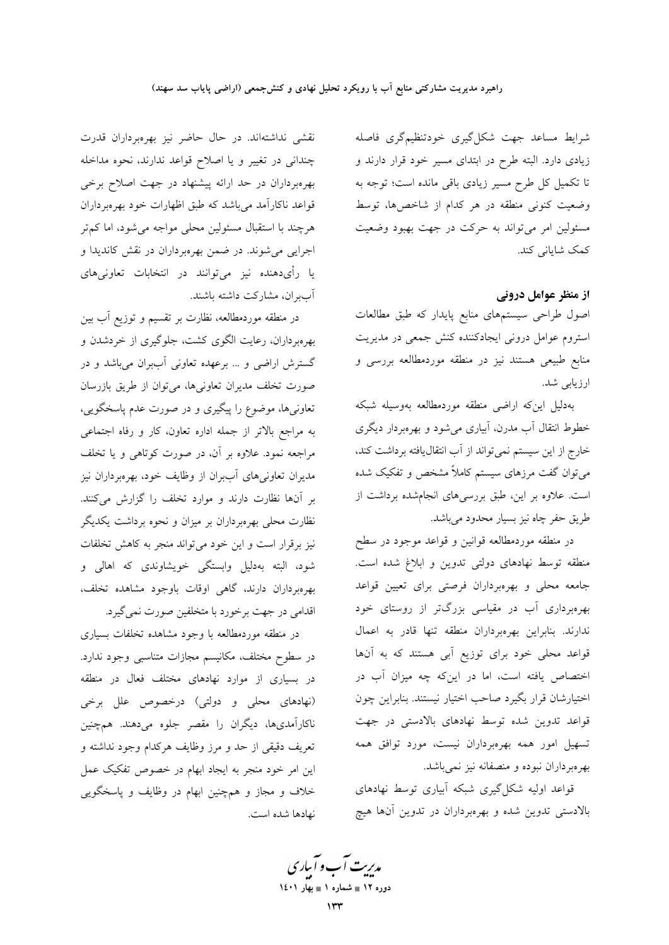شرايط مساعد جهت شكل گيري خودتنظيم گري فاصله زیادی دارد. البته طرح در ابتدای مسیر خود قرار دارند و تا تکمیل کل طرح مسیر زیادی باقی مانده است؛ توجه به وضعیت کنونی منطقه در هر کدام از شاخصها، توسط مسئولین امر می تواند به حرکت در جهت بهبود وضعیت كمك شاياني كند.

از منظر عوامل درونی

اصول طراحی سیستمهای منابع پایدار که طبق مطالعات استروم عوامل درونی ایجادکننده کنش جمعی در مدیریت منابع طبیعی هستند نیز در منطقه موردمطالعه بررسی و ارزيابي شد.

بهدليل اينكه اراضى منطقه موردمطالعه بهوسيله شبكه خطوط انتقال آب مدرن، آبیاری میشود و بهرهبردار دیگری خارج از این سیستم نمیتواند از آب انتقال یافته برداشت کند، می توان گفت مرزهای سیستم کاملاً مشخص و تفکیک شده است. علاوه بر این، طبق بررسیهای انجامشده برداشت از طريق حفر چاه نيز بسيار محدود مي باشد.

در منطقه موردمطالعه قوانین و قواعد موجود در سطح منطقه توسط نهادهای دولتی تدوین و ابلاغ شده است. جامعه محلی و بهرهبرداران فرصتی برای تعیین قواعد بهرهبرداری آب در مقیاسی بزرگتر از روستای خود ندارند. بنابراین بهرهبرداران منطقه تنها قادر به اعمال قواعد محلی خود برای توزیع آبی هستند که به آنها اختصاص یافته است، اما در اینکه چه میزان آب در اختیارشان قرار بگیرد صاحب اختیار نیستند. بنابراین چون قواعد تدوین شده توسط نهادهای بالادستی در جهت تسهیل امور همه بهرهبرداران نیست، مورد توافق همه بهرهبرداران نبوده و منصفانه نیز نمی باشد.

قواعد اولیه شکل گیری شبکه آبیاری توسط نهادهای بالادستی تدوین شده و بهرهبرداران در تدوین آنها هیچ

نقشی نداشتهاند. در حال حاضر نیز بهرهبرداران قدرت چندانی در تغییر و یا اصلاح قواعد ندارند، نحوه مداخله بهرهبرداران در حد ارائه پیشنهاد در جهت اصلاح برخی قواعد ناکارآمد میباشد که طبق اظهارات خود بهرهبرداران هرچند با استقبال مسئولین محلی مواجه می شود، اما کم تر اجرایی می شوند. در ضمن بهرهبرداران در نقش کاندیدا و یا رأیدهنده نیز میتوانند در انتخابات تعاونیهای آببران، مشاركت داشته باشند.

در منطقه موردمطالعه، نظارت بر تقسیم و توزیع آب بین بهرهبرداران، رعایت الگوی کشت، جلوگیری از خردشدن و گسترش اراضی و … برعهده تعاونی آببران میباشد و در صورت تخلف مديران تعاوني ها، مي توان از طريق بازرسان تعاونیها، موضوع را پیگیری و در صورت عدم پاسخگویی، به مراجع بالاتر از جمله اداره تعاون، كار و رفاه اجتماعى مراجعه نمود. علاوه بر آن، در صورت کوتاهی و یا تخلف مدیران تعاونی های آببران از وظایف خود، بهرهبرداران نیز بر آنها نظارت دارند و موارد تخلف را گزارش میکنند. نظارت محلی بهرهبرداران بر میزان و نحوه برداشت یکدیگر نیز برقرار است و این خود میتواند منجر به کاهش تخلفات شود، البته بهدلیل وابستگی خویشاوندی که اهالی و بهرهبرداران دارند، گاهی اوقات باوجود مشاهده تخلف، اقدامی در جهت برخورد با متخلفین صورت نمی گیرد.

در منطقه موردمطالعه با وجود مشاهده تخلفات بسياري در سطوح مختلف، مكانيسم مجازات متناسبي وجود ندارد. در بسیاری از موارد نهادهای مختلف فعال در منطقه (نهادهای محلی و دولتی) درخصوص علل برخی .<br>ناکارآمدیها، دیگران را مقصر جلوه میدهند. همچنین تعريف دقيقي از حد و مرز وظايف هركدام وجود نداشته و این امر خود منجر به ایجاد ابهام در خصوص تفکیک عمل خلاف و مجاز و همچنین ابهام در وظایف و پاسخگویی نهادها شده است.

مدیریت آب و آبیاری دوره ۱۲ ∎ شماره ۱ ∎ بهار ۱٤۰۱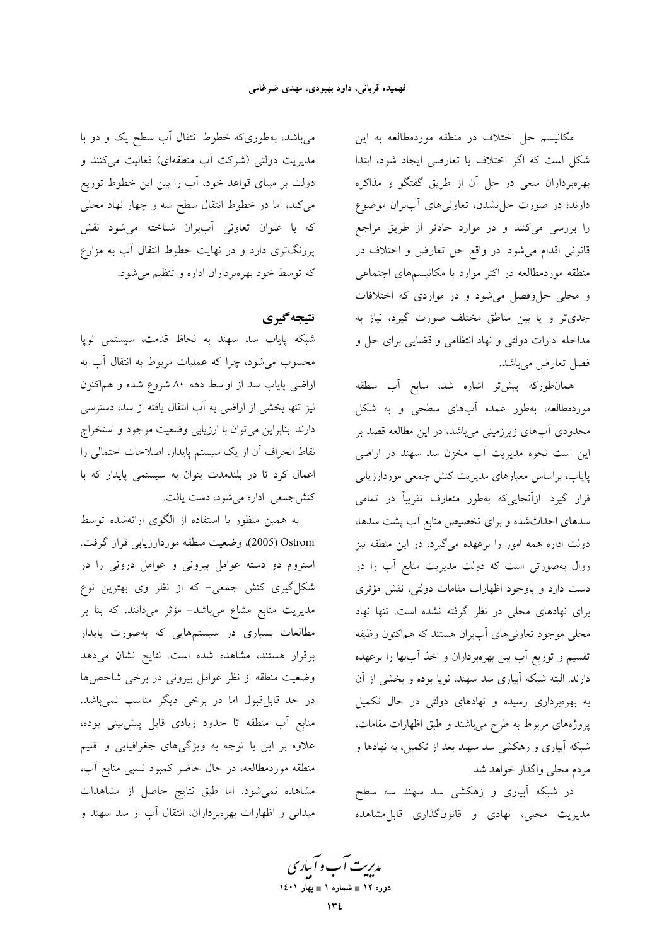مكانيسم حل اختلاف در منطقه موردمطالعه به اين شکل است که اگر اختلاف یا تعارضی ایجاد شود، ابتدا بهرهبرداران سعى در حل أن از طريق گفتگو و مذاكره دارند؛ در صورت حل نشدن، تعاونی های آببران موضوع را بررسی میکنند و در موارد حادتر از طریق مراجع قانونی اقدام می شود. در واقع حل تعارض و اختلاف در منطقه موردمطالعه در اکثر موارد با مکانیسمهای اجتماعی و محلی حل وفصل می شود و در مواردی که اختلافات جدیتر و یا بین مناطق مختلف صورت گیرد، نیاز به مداخله ادارات دولتی و نهاد انتظامی و قضایی برای حل و فصل تعارض ميباشد.

همانطورکه پیشتر اشاره شد، منابع آب منطقه موردمطالعه، بهطور عمده آبهای سطحی و به شکل محدودی آبهای زیرزمینی میباشد، در این مطالعه قصد بر این است نحوه مدیریت آب مخزن سد سهند در اراضی پایاب، براساس معیارهای مدیریت کنش جمعی موردارزیابی قرار گیرد. ازآنجایییکه بهطور متعارف تقریباً در تمامی سدهای احداثشده و برای تخصیص منابع آب پشت سدها، دولت اداره همه امور را برعهده میگیرد، در این منطقه نیز روال بهصورتی است که دولت مدیریت منابع آب را در دست دارد و باوجود اظهارات مقامات دولتی، نقش مؤثری برای نهادهای محلی در نظر گرفته نشده است. تنها نهاد محلي موجود تعاوني هاي أببران هستند كه هماكنون وظيفه تقسیم و توزیع آب بین بهرهبرداران و اخذ آببها را برعهده دارند. البته شبکه آبیاری سد سهند، نوپا بوده و بخشی از آن به بهرهبرداری رسیده و نهادهای دولتی در حال تکمیل پروژههای مربوط به طرح میباشند و طبق اظهارات مقامات، شبکه آبیاری و زهکشی سد سهند بعد از تکمیل، به نهادها و مردم محلي واگذار خواهد شد.

در شبکه آبیاری و زهکشی سد سهند سه سطح مدیریت محلی، نهادی و قانونگذاری قابل.مشاهده

میباشد، بهطوریکه خطوط انتقال آب سطح یک و دو با مدیریت دولتی (شرکت آب منطقهای) فعالیت میکنند و دولت بر مبنای قواعد خود، آب را بین این خطوط توزیع میکند، اما در خطوط انتقال سطح سه و چهار نهاد محلی که با عنوان تعاونی آببران شناخته می شود نقش پررنگتری دارد و در نهایت خطوط انتقال آب به مزارع که توسط خود بهرهبرداران اداره و تنظیم میشود.

# نتيجه گيري

شبکه پایاب سد سهند به لحاظ قدمت، سیستمی نوپا محسوب می شود، چرا که عملیات مربوط به انتقال آب به اراضی پایاب سد از اواسط دهه ۸۰ شروع شده و هماکنون نیز تنها بخشی از اراضی به آب انتقال یافته از سد، دسترسی دارند. بنابراین میتوان با ارزیابی وضعیت موجود و استخراج نقاط انحراف آن از یک سیستم پایدار، اصلاحات احتمالی را اعمال کرد تا در بلندمدت بتوان به سیستمی پایدار که با کنشجمعی اداره میشود، دست یافت.

به همین منظور با استفاده از الگوی ارائهشده توسط Ostrom (2005)، وضعيت منطقه موردارزيابي قرار گرفت. استروم دو دسته عوامل بیرونی و عوامل درونی را در شکل گیری کنش جمعی- که از نظر وی بهترین نوع مدیریت منابع مشاع میباشد- مؤثر میدانند، که بنا بر مطالعات بسیاری در سیستمهایی که بهصورت پایدار برقرار هستند، مشاهده شده است. نتايج نشان مى دهد وضعیت منطقه از نظر عوامل بیرونی در برخی شاخصها در حد قابل قبول اما در برخی دیگر مناسب نمیباشد. منابع آب منطقه تا حدود زیادی قابل پیش بینی بوده، علاوه بر این با توجه به ویژگیهای جغرافیایی و اقلیم منطقه موردمطالعه، در حال حاضر کمبود نسبی منابع آب، مشاهده نمی شود. اما طبق نتایج حاصل از مشاهدات میدانی و اظهارات بهرهبرداران، انتقال آب از سد سهند و

مدبریت آب و آبیاری دوره ۱۲ ∎ شماره ۱ ∎ بهار ۱٤۰۱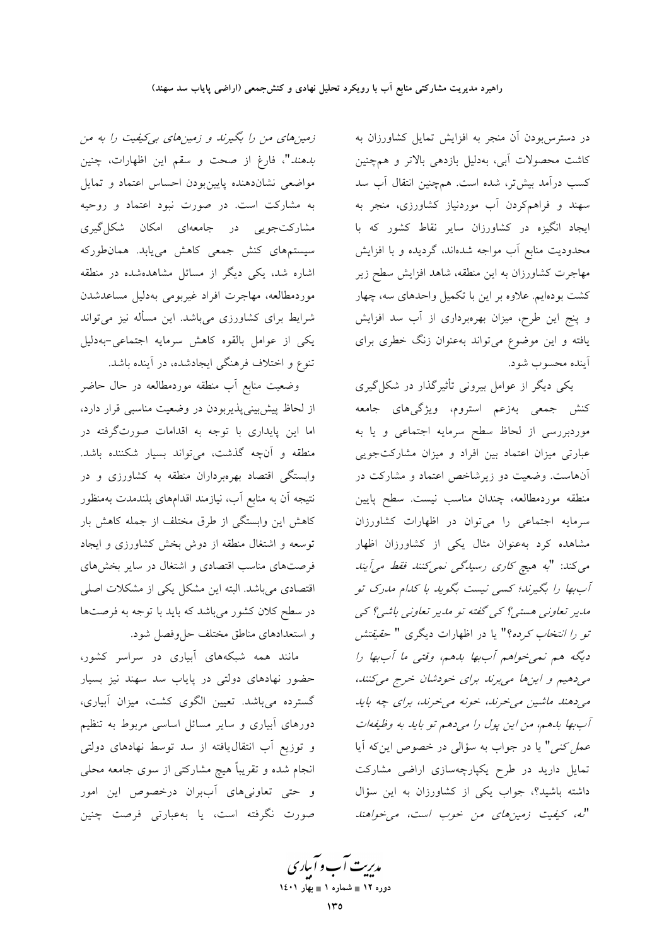در دسترس بودن آن منجر به افزایش تمایل کشاورزان به کاشت محصولات آبی، بهدلیل بازدهی بالاتر و همچنین كسب درآمد بيشتر، شده است. همچنين انتقال آب سد سهند و فراهمکردن آب موردنیاز کشاورزی، منجر به ایجاد انگیزه در کشاورزان سایر نقاط کشور که با محدودیت منابع أب مواجه شدهاند، گردیده و با افزایش مهاجرت کشاورزان به این منطقه، شاهد افزایش سطح زیر کشت بودهایم. علاوه بر این با تکمیل واحدهای سه، چهار و پنج این طرح، میزان بهرهبرداری از آب سد افزایش یافته و این موضوع میتواند بهعنوان زنگ خطری برای اً ينده محسوب شود.

یکی دیگر از عوامل بیرونی تأثیرگذار در شکل گیری کنش جمعی بهزعم استروم، ویژگیهای جامعه موردبررسی از لحاظ سطح سرمایه اجتماعی و یا به عبارتی میزان اعتماد بین افراد و میزان مشارکتجویی آنهاست. وضعیت دو زیرشاخص اعتماد و مشارکت در منطقه موردمطالعه، چندان مناسب نیست. سطح پایین سرمایه اجتماعی را میتوان در اظهارات کشاورزان مشاهده کرد به عنوان مثال یکی از کشاورزان اظهار می کند: "به هیچ کاری رسیدگی نمی کنند فقط می آیند آببها را بگیرند؛ کسی نیست بگوید با کدام مدرک تو مدیر تعاونی هستی؟ کی گفته تو مدیر تعاونی باشی؟ کی تو ر*ا انتخاب كرده؟*" يا در اظهارات ديگرى " حق*يقتش* دیگه هم نمی خواهم آب بها بلهم، وقتبی ما آب بها را می دهیم و این ها می برند برای خودشان خرج می کنند، می دهند ماشین می خرند، خونه می خرند، برای چه باید آب بها بدهم، من اين پول را مي دهم تو بايد به وظيفهات عمل کنی" یا در جواب به سؤالی در خصوص این که آیا تمایل دارید در طرح یکپارچهسازی اراضی مشارکت داشته باشید؟، جواب یکی از کشاورزان به این سؤال "له، كيفيت زمين هاي من خوب است، مي خواهند

زمینهای من را بگیرند و زمینهای بی کیفیت را به من بدهند"، فارغ از صحت و سقم این اظهارات، چنین مواضعی نشاندهنده پایینبودن احساس اعتماد و تمایل به مشارکت است. در صورت نبود اعتماد و روحیه مشارکتجویی در جامعهای امکان شکل گیری سیستمهای کنش جمعی کاهش مییابد. همان طورکه اشاره شد، یکی دیگر از مسائل مشاهدهشده در منطقه موردمطالعه، مهاجرت افراد غیربومی بهدلیل مساعدشدن شرایط برای کشاورزی میباشد. این مسأله نیز میتواند یکی از عوامل بالقوه کاهش سرمایه اجتماعی-بهدلیل تنوع و اختلاف فرهنگی ایجادشده، در آینده باشد.

وضعیت منابع آب منطقه موردمطالعه در حال حاضر از لحاظ پیشبینیپذیربودن در وضعیت مناسبی قرار دارد، اما این پایداری با توجه به اقدامات صورتگرفته در منطقه و آنچه گذشت، میتواند بسیار شکننده باشد. وابستگی اقتصاد بهرهبرداران منطقه به کشاورزی و در نتیجه آن به منابع آب، نیازمند اقدامهای بلندمدت بهمنظور كاهش اين وابستگي از طرق مختلف از جمله كاهش بار توسعه و اشتغال منطقه از دوش بخش کشاورزی و ایجاد فرصتهای مناسب اقتصادی و اشتغال در سایر بخشهای اقتصادی میباشد. البته این مشکل یکی از مشکلات اصلی در سطح کلان کشور میباشد که باید با توجه به فرصتها و استعدادهای مناطق مختلف حل وفصل شود.

مانند همه شبکههای آبیاری در سراسر کشور، حضور نهادهای دولتی در پایاب سد سهند نیز بسیار گسترده میباشد. تعیین الگوی کشت، میزان آبیاری، دورهای آبیاری و سایر مسائل اساسی مربوط به تنظیم و توزیع آب انتقال یافته از سد توسط نهادهای دولتی انجام شده و تقریباً هیچ مشارکتی از سوی جامعه محلی و حتى تعاونى هاى أببران درخصوص اين امور صورت نگرفته است، یا بهعبارتی فرصت چنین

مدبریت آب و آبیاری دوره ۱۲ ∎ شماره ۱ ∎ بهار ۱٤۰۱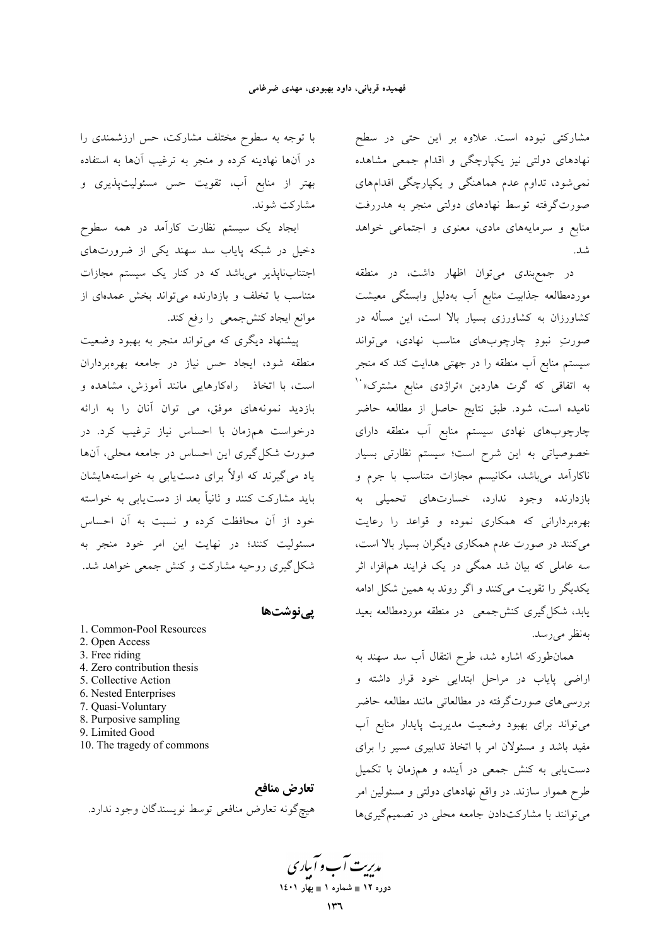مشاركتي نبوده است. علاوه بر اين حتى در سطح نهادهای دولتی نیز یکپارچگی و اقدام جمعی مشاهده نمی شود، تداوم عدم هماهنگی و یکپارچگی اقدامهای صورتگرفته توسط نهادهای دولتی منجر به هدررفت منابع و سرمایههای مادی، معنوی و اجتماعی خواهد شد.

در جمع بندی می توان اظهار داشت، در منطقه موردمطالعه جذابيت منابع أب بهدليل وابستگى معيشت کشاورزان به کشاورزی بسیار بالا است، این مسأله در صورتِ نبودِ چارچوبهای مناسب نهادی، میتواند سیستم منابع اّب منطقه را در جهتی هدایت کند که منجر به اتفاقی که گرت هاردین «تراژدی منابع مشترک»<sup>۱۰</sup> نامیده است، شود. طبق نتایج حاصل از مطالعه حاضر چارچوبهای نهادی سیستم منابع آب منطقه دارای خصوصیاتی به این شرح است؛ سیستم نظارتی بسیار ناکارآمد میباشد، مکانیسم مجازات متناسب با جرم و بازدارنده وجود ندارد، خسارتهای تحمیلی به بهرهبردارانی که همکاری نموده و قواعد را رعایت می کنند در صورت عدم همکاری دیگران بسیار بالا است، سه عاملی که بیان شد همگی در یک فرایند همافزا، اثر یکدیگر را تقویت میکنند و اگر روند به همین شکل ادامه یابد، شکل گیری کنش جمعی در منطقه موردمطالعه بعید بەنظر مىرىسد.

همانطورکه اشاره شد، طرح انتقال آب سد سهند به اراضی پایاب در مراحل ابتدایی خود قرار داشته و بررسیهای صورتگرفته در مطالعاتی مانند مطالعه حاضر می تواند برای بهبود وضعیت مدیریت پایدار منابع آب مفید باشد و مسئولان امر با اتخاذ تدابیری مسیر را برای دستیابی به کنش جمعی در آینده و همزمان با تکمیل طرح هموار سازند. در واقع نهادهای دولتی و مسئولین امر می توانند با مشارکتدادن جامعه محلی در تصمیم گیریها

با توجه به سطوح مختلف مشاركت، حس ارزشمندي را در آنها نهادینه کرده و منجر به ترغیب آنها به استفاده بهتر از منابع آب، تقويت حس مسئوليتپذيرى و مشارکت شوند.

ایجاد یک سیستم نظارت کارآمد در همه سطوح دخیل در شبکه پایاب سد سهند یکی از ضرورتهای اجتنابناپذیر میباشد که در کنار یک سیستم مجازات متناسب با تخلف و بازدارنده می تواند بخش عمدهای از موانع ايجاد كنش÷معي را رفع كند.

پیشنهاد دیگری که میتواند منجر به بهبود وضعیت منطقه شود، ایجاد حس نیاز در جامعه بهرهبرداران است، با اتخاذ راهکارهایی مانند آموزش، مشاهده و بازدید نمونههای موفق، می توان آنان را به ارائه درخواست همزمان با احساس نیاز ترغیب کرد. در صورت شکل گیری این احساس در جامعه محلی، آنها یاد می گیرند که اولاً برای دست یابی به خواستههایشان باید مشارکت کنند و ثانیاً بعد از دستLیابی به خواسته خود از آن محافظت کرده و نسبت به آن احساس مسئوليت كنند؛ در نهايت اين امر خود منجر به شکل گیری روحیه مشارکت و کنش جمعی خواهد شد.

یےنوشتھا

1. Common-Pool Resources 2. Open Access 3. Free riding 4. Zero contribution thesis 5. Collective Action 6. Nested Enterprises 7. Quasi-Voluntary 8. Purposive sampling 9. Limited Good 10. The tragedy of commons

تعارض منافع هيچگونه تعارض منافعي توسط نويسندگان وجود ندارد.

مدریت آب و آباری دوره ۱۲ ∎ شماره ۱ ∎ بهار ۱٤۰۱